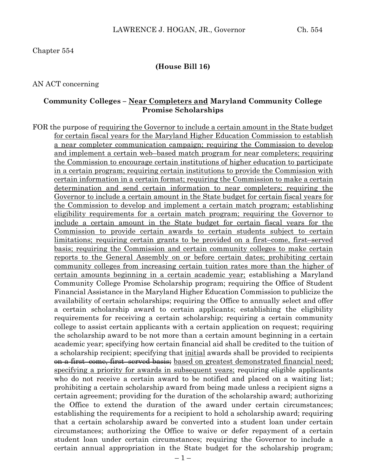### **(House Bill 16)**

AN ACT concerning

### **Community Colleges – Near Completers and Maryland Community College Promise Scholarships**

FOR the purpose of requiring the Governor to include a certain amount in the State budget for certain fiscal years for the Maryland Higher Education Commission to establish a near completer communication campaign; requiring the Commission to develop and implement a certain web–based match program for near completers; requiring the Commission to encourage certain institutions of higher education to participate in a certain program; requiring certain institutions to provide the Commission with certain information in a certain format; requiring the Commission to make a certain determination and send certain information to near completers; requiring the Governor to include a certain amount in the State budget for certain fiscal years for the Commission to develop and implement a certain match program; establishing eligibility requirements for a certain match program; requiring the Governor to include a certain amount in the State budget for certain fiscal years for the Commission to provide certain awards to certain students subject to certain limitations; requiring certain grants to be provided on a first–come, first–served basis; requiring the Commission and certain community colleges to make certain reports to the General Assembly on or before certain dates; prohibiting certain community colleges from increasing certain tuition rates more than the higher of certain amounts beginning in a certain academic year; establishing a Maryland Community College Promise Scholarship program; requiring the Office of Student Financial Assistance in the Maryland Higher Education Commission to publicize the availability of certain scholarships; requiring the Office to annually select and offer a certain scholarship award to certain applicants; establishing the eligibility requirements for receiving a certain scholarship; requiring a certain community college to assist certain applicants with a certain application on request; requiring the scholarship award to be not more than a certain amount beginning in a certain academic year; specifying how certain financial aid shall be credited to the tuition of a scholarship recipient; specifying that <u>initial</u> awards shall be provided to recipients on a first–come, first–served basis; based on greatest demonstrated financial need; specifying a priority for awards in subsequent years; requiring eligible applicants who do not receive a certain award to be notified and placed on a waiting list; prohibiting a certain scholarship award from being made unless a recipient signs a certain agreement; providing for the duration of the scholarship award; authorizing the Office to extend the duration of the award under certain circumstances; establishing the requirements for a recipient to hold a scholarship award; requiring that a certain scholarship award be converted into a student loan under certain circumstances; authorizing the Office to waive or defer repayment of a certain student loan under certain circumstances; requiring the Governor to include a certain annual appropriation in the State budget for the scholarship program;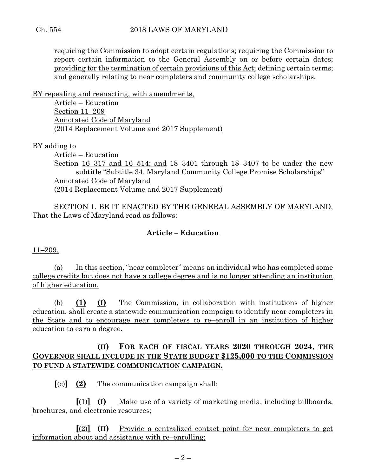requiring the Commission to adopt certain regulations; requiring the Commission to report certain information to the General Assembly on or before certain dates; providing for the termination of certain provisions of this Act; defining certain terms; and generally relating to near completers and community college scholarships.

BY repealing and reenacting, with amendments,

Article – Education Section 11–209 Annotated Code of Maryland (2014 Replacement Volume and 2017 Supplement)

BY adding to

Article – Education Section 16–317 and 16–514; and 18–3401 through 18–3407 to be under the new subtitle "Subtitle 34. Maryland Community College Promise Scholarships" Annotated Code of Maryland (2014 Replacement Volume and 2017 Supplement)

SECTION 1. BE IT ENACTED BY THE GENERAL ASSEMBLY OF MARYLAND, That the Laws of Maryland read as follows:

# **Article – Education**

11–209.

(a) In this section, "near completer" means an individual who has completed some college credits but does not have a college degree and is no longer attending an institution of higher education.

(b) **(1) (I)** The Commission, in collaboration with institutions of higher education, shall create a statewide communication campaign to identify near completers in the State and to encourage near completers to re–enroll in an institution of higher education to earn a degree.

# **(II) FOR EACH OF FISCAL YEARS 2020 THROUGH 2024, THE GOVERNOR SHALL INCLUDE IN THE STATE BUDGET \$125,000 TO THE COMMISSION TO FUND A STATEWIDE COMMUNICATION CAMPAIGN.**

**[**(c)**] (2)** The communication campaign shall:

**[**(1)**] (I)** Make use of a variety of marketing media, including billboards, brochures, and electronic resources;

**[**(2)**] (II)** Provide a centralized contact point for near completers to get information about and assistance with re–enrolling;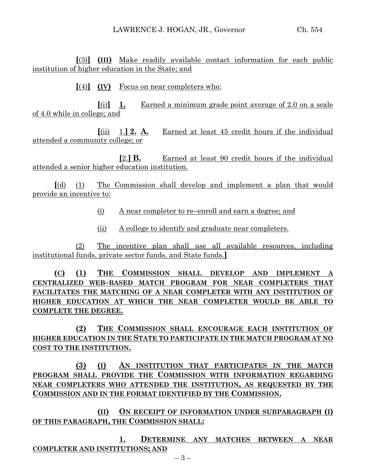**[**(3)**] (III)** Make readily available contact information for each public institution of higher education in the State; and

**[**(4)**] (IV)** Focus on near completers who:

**[**(i)**] 1.** Earned a minimum grade point average of 2.0 on a scale of 4.0 while in college; and

**[**(ii) 1.**] 2. A.** Earned at least 45 credit hours if the individual attended a community college; or

**[**2.**] B.** Earned at least 90 credit hours if the individual attended a senior higher education institution.

**[**(d) (1) The Commission shall develop and implement a plan that would provide an incentive to:

- (i) A near completer to re–enroll and earn a degree; and
- (ii) A college to identify and graduate near completers.

(2) The incentive plan shall use all available resources, including institutional funds, private sector funds, and State funds.**]**

**(C) (1) THE COMMISSION SHALL DEVELOP AND IMPLEMENT A CENTRALIZED WEB–BASED MATCH PROGRAM FOR NEAR COMPLETERS THAT FACILITATES THE MATCHING OF A NEAR COMPLETER WITH ANY INSTITUTION OF HIGHER EDUCATION AT WHICH THE NEAR COMPLETER WOULD BE ABLE TO COMPLETE THE DEGREE.**

**(2) THE COMMISSION SHALL ENCOURAGE EACH INSTITUTION OF HIGHER EDUCATION IN THE STATE TO PARTICIPATE IN THE MATCH PROGRAM AT NO COST TO THE INSTITUTION.**

**(3) (I) AN INSTITUTION THAT PARTICIPATES IN THE MATCH PROGRAM SHALL PROVIDE THE COMMISSION WITH INFORMATION REGARDING NEAR COMPLETERS WHO ATTENDED THE INSTITUTION, AS REQUESTED BY THE COMMISSION AND IN THE FORMAT IDENTIFIED BY THE COMMISSION.**

**(II) ON RECEIPT OF INFORMATION UNDER SUBPARAGRAPH (I) OF THIS PARAGRAPH, THE COMMISSION SHALL:**

**1. DETERMINE ANY MATCHES BETWEEN A NEAR COMPLETER AND INSTITUTIONS; AND**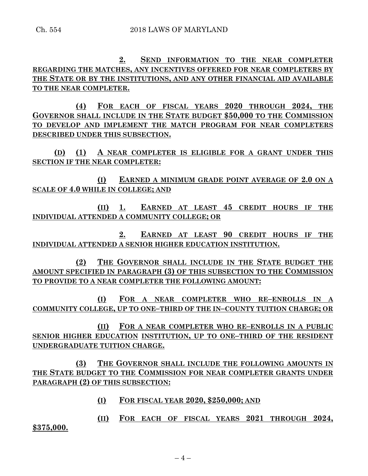**2. SEND INFORMATION TO THE NEAR COMPLETER REGARDING THE MATCHES, ANY INCENTIVES OFFERED FOR NEAR COMPLETERS BY THE STATE OR BY THE INSTITUTIONS, AND ANY OTHER FINANCIAL AID AVAILABLE TO THE NEAR COMPLETER.**

**(4) FOR EACH OF FISCAL YEARS 2020 THROUGH 2024, THE GOVERNOR SHALL INCLUDE IN THE STATE BUDGET \$50,000 TO THE COMMISSION TO DEVELOP AND IMPLEMENT THE MATCH PROGRAM FOR NEAR COMPLETERS DESCRIBED UNDER THIS SUBSECTION.**

**(D) (1) A NEAR COMPLETER IS ELIGIBLE FOR A GRANT UNDER THIS SECTION IF THE NEAR COMPLETER:**

**(I) EARNED A MINIMUM GRADE POINT AVERAGE OF 2.0 ON A SCALE OF 4.0 WHILE IN COLLEGE; AND**

**(II) 1. EARNED AT LEAST 45 CREDIT HOURS IF THE INDIVIDUAL ATTENDED A COMMUNITY COLLEGE; OR**

**2. EARNED AT LEAST 90 CREDIT HOURS IF THE INDIVIDUAL ATTENDED A SENIOR HIGHER EDUCATION INSTITUTION.**

**(2) THE GOVERNOR SHALL INCLUDE IN THE STATE BUDGET THE AMOUNT SPECIFIED IN PARAGRAPH (3) OF THIS SUBSECTION TO THE COMMISSION TO PROVIDE TO A NEAR COMPLETER THE FOLLOWING AMOUNT:**

**(I) FOR A NEAR COMPLETER WHO RE–ENROLLS IN A COMMUNITY COLLEGE, UP TO ONE–THIRD OF THE IN–COUNTY TUITION CHARGE; OR**

**(II) FOR A NEAR COMPLETER WHO RE–ENROLLS IN A PUBLIC SENIOR HIGHER EDUCATION INSTITUTION, UP TO ONE–THIRD OF THE RESIDENT UNDERGRADUATE TUITION CHARGE.**

**(3) THE GOVERNOR SHALL INCLUDE THE FOLLOWING AMOUNTS IN THE STATE BUDGET TO THE COMMISSION FOR NEAR COMPLETER GRANTS UNDER PARAGRAPH (2) OF THIS SUBSECTION:**

**(I) FOR FISCAL YEAR 2020, \$250,000; AND**

**(II) FOR EACH OF FISCAL YEARS 2021 THROUGH 2024, \$375,000.**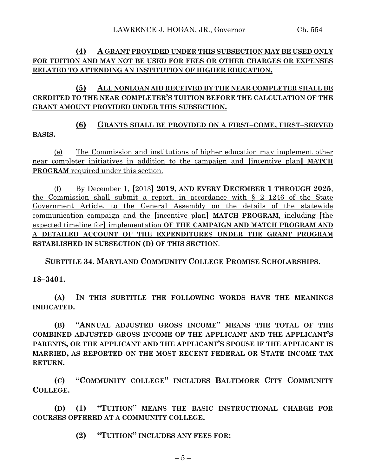# **(4) A GRANT PROVIDED UNDER THIS SUBSECTION MAY BE USED ONLY FOR TUITION AND MAY NOT BE USED FOR FEES OR OTHER CHARGES OR EXPENSES RELATED TO ATTENDING AN INSTITUTION OF HIGHER EDUCATION.**

# **(5) ALL NONLOAN AID RECEIVED BY THE NEAR COMPLETER SHALL BE CREDITED TO THE NEAR COMPLETER'S TUITION BEFORE THE CALCULATION OF THE GRANT AMOUNT PROVIDED UNDER THIS SUBSECTION.**

**(6) GRANTS SHALL BE PROVIDED ON A FIRST–COME, FIRST–SERVED BASIS.**

(e) The Commission and institutions of higher education may implement other near completer initiatives in addition to the campaign and **[**incentive plan**] MATCH PROGRAM** required under this section.

(f) By December 1, **[**2013**] 2019, AND EVERY DECEMBER 1 THROUGH 2025**, the Commission shall submit a report, in accordance with  $\S$  2-1246 of the State Government Article, to the General Assembly on the details of the statewide communication campaign and the **[**incentive plan**] MATCH PROGRAM**, including **[**the expected timeline for**]** implementation **OF THE CAMPAIGN AND MATCH PROGRAM AND A DETAILED ACCOUNT OF THE EXPENDITURES UNDER THE GRANT PROGRAM ESTABLISHED IN SUBSECTION (D) OF THIS SECTION**.

**SUBTITLE 34. MARYLAND COMMUNITY COLLEGE PROMISE SCHOLARSHIPS.**

**18–3401.**

**(A) IN THIS SUBTITLE THE FOLLOWING WORDS HAVE THE MEANINGS INDICATED.**

**(B) "ANNUAL ADJUSTED GROSS INCOME" MEANS THE TOTAL OF THE COMBINED ADJUSTED GROSS INCOME OF THE APPLICANT AND THE APPLICANT'S PARENTS, OR THE APPLICANT AND THE APPLICANT'S SPOUSE IF THE APPLICANT IS MARRIED, AS REPORTED ON THE MOST RECENT FEDERAL OR STATE INCOME TAX RETURN.**

**(C) "COMMUNITY COLLEGE" INCLUDES BALTIMORE CITY COMMUNITY COLLEGE.**

**(D) (1) "TUITION" MEANS THE BASIC INSTRUCTIONAL CHARGE FOR COURSES OFFERED AT A COMMUNITY COLLEGE.**

**(2) "TUITION" INCLUDES ANY FEES FOR:**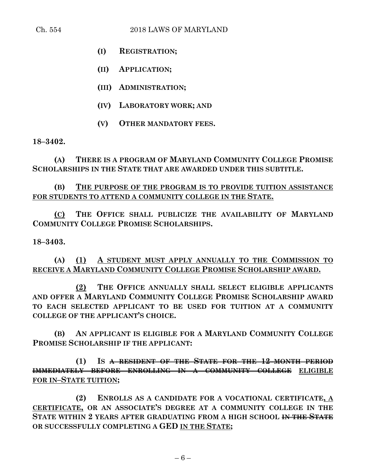- **(I) REGISTRATION;**
- **(II) APPLICATION;**
- **(III) ADMINISTRATION;**
- **(IV) LABORATORY WORK; AND**
- **(V) OTHER MANDATORY FEES.**

**18–3402.**

**(A) THERE IS A PROGRAM OF MARYLAND COMMUNITY COLLEGE PROMISE SCHOLARSHIPS IN THE STATE THAT ARE AWARDED UNDER THIS SUBTITLE.**

# **(B) THE PURPOSE OF THE PROGRAM IS TO PROVIDE TUITION ASSISTANCE FOR STUDENTS TO ATTEND A COMMUNITY COLLEGE IN THE STATE.**

**(C) THE OFFICE SHALL PUBLICIZE THE AVAILABILITY OF MARYLAND COMMUNITY COLLEGE PROMISE SCHOLARSHIPS.**

**18–3403.**

**(A) (1) A STUDENT MUST APPLY ANNUALLY TO THE COMMISSION TO RECEIVE A MARYLAND COMMUNITY COLLEGE PROMISE SCHOLARSHIP AWARD.**

**(2) THE OFFICE ANNUALLY SHALL SELECT ELIGIBLE APPLICANTS AND OFFER A MARYLAND COMMUNITY COLLEGE PROMISE SCHOLARSHIP AWARD TO EACH SELECTED APPLICANT TO BE USED FOR TUITION AT A COMMUNITY COLLEGE OF THE APPLICANT'S CHOICE.**

**(B) AN APPLICANT IS ELIGIBLE FOR A MARYLAND COMMUNITY COLLEGE PROMISE SCHOLARSHIP IF THE APPLICANT:**

**(1) IS A RESIDENT OF THE STATE FOR THE 12–MONTH PERIOD IMMEDIATELY BEFORE ENROLLING IN A COMMUNITY COLLEGE ELIGIBLE FOR IN–STATE TUITION;**

**(2) ENROLLS AS A CANDIDATE FOR A VOCATIONAL CERTIFICATE, A CERTIFICATE, OR AN ASSOCIATE'S DEGREE AT A COMMUNITY COLLEGE IN THE STATE WITHIN 2 YEARS AFTER GRADUATING FROM A HIGH SCHOOL IN THE STATE OR SUCCESSFULLY COMPLETING A GED IN THE STATE;**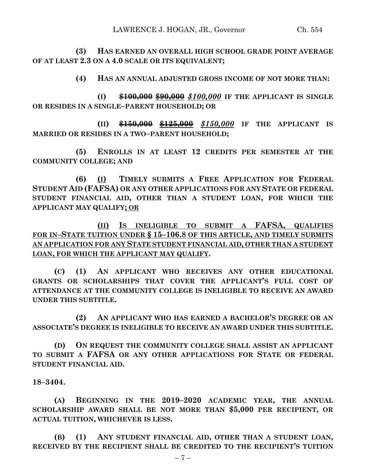**(3) HAS EARNED AN OVERALL HIGH SCHOOL GRADE POINT AVERAGE OF AT LEAST 2.3 ON A 4.0 SCALE OR ITS EQUIVALENT;**

**(4) HAS AN ANNUAL ADJUSTED GROSS INCOME OF NOT MORE THAN:**

**(I) \$100,000 \$90,000** *\$100,000* **IF THE APPLICANT IS SINGLE OR RESIDES IN A SINGLE–PARENT HOUSEHOLD; OR**

**(II) \$150,000 \$125,000** *\$150,000* **IF THE APPLICANT IS MARRIED OR RESIDES IN A TWO–PARENT HOUSEHOLD;**

**(5) ENROLLS IN AT LEAST 12 CREDITS PER SEMESTER AT THE COMMUNITY COLLEGE; AND**

**(6) (I) TIMELY SUBMITS A FREE APPLICATION FOR FEDERAL STUDENT AID (FAFSA) OR ANY OTHER APPLICATIONS FOR ANY STATE OR FEDERAL STUDENT FINANCIAL AID, OTHER THAN A STUDENT LOAN, FOR WHICH THE APPLICANT MAY QUALIFY; OR**

**(II) IS INELIGIBLE TO SUBMIT A FAFSA, QUALIFIES FOR IN–STATE TUITION UNDER § 15–106.8 OF THIS ARTICLE, AND TIMELY SUBMITS AN APPLICATION FOR ANY STATE STUDENT FINANCIAL AID, OTHER THAN A STUDENT LOAN, FOR WHICH THE APPLICANT MAY QUALIFY.**

**(C) (1) AN APPLICANT WHO RECEIVES ANY OTHER EDUCATIONAL GRANTS OR SCHOLARSHIPS THAT COVER THE APPLICANT'S FULL COST OF ATTENDANCE AT THE COMMUNITY COLLEGE IS INELIGIBLE TO RECEIVE AN AWARD UNDER THIS SUBTITLE.**

**(2) AN APPLICANT WHO HAS EARNED A BACHELOR'S DEGREE OR AN ASSOCIATE'S DEGREE IS INELIGIBLE TO RECEIVE AN AWARD UNDER THIS SUBTITLE.**

**(D) ON REQUEST THE COMMUNITY COLLEGE SHALL ASSIST AN APPLICANT TO SUBMIT A FAFSA OR ANY OTHER APPLICATIONS FOR STATE OR FEDERAL STUDENT FINANCIAL AID.**

## **18–3404.**

**(A) BEGINNING IN THE 2019–2020 ACADEMIC YEAR, THE ANNUAL SCHOLARSHIP AWARD SHALL BE NOT MORE THAN \$5,000 PER RECIPIENT, OR ACTUAL TUITION, WHICHEVER IS LESS.**

**(B) (1) ANY STUDENT FINANCIAL AID, OTHER THAN A STUDENT LOAN, RECEIVED BY THE RECIPIENT SHALL BE CREDITED TO THE RECIPIENT'S TUITION**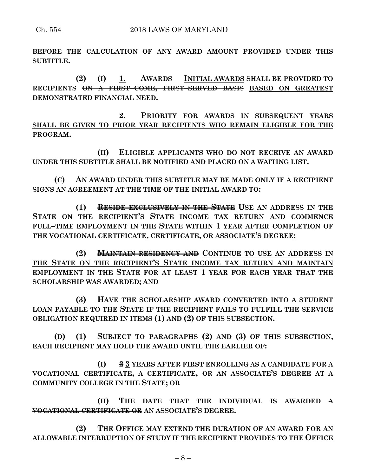**BEFORE THE CALCULATION OF ANY AWARD AMOUNT PROVIDED UNDER THIS SUBTITLE.**

**(2) (I) 1. AWARDS INITIAL AWARDS SHALL BE PROVIDED TO RECIPIENTS ON A FIRST–COME, FIRST–SERVED BASIS BASED ON GREATEST DEMONSTRATED FINANCIAL NEED.**

**2. PRIORITY FOR AWARDS IN SUBSEQUENT YEARS SHALL BE GIVEN TO PRIOR YEAR RECIPIENTS WHO REMAIN ELIGIBLE FOR THE PROGRAM.**

**(II) ELIGIBLE APPLICANTS WHO DO NOT RECEIVE AN AWARD UNDER THIS SUBTITLE SHALL BE NOTIFIED AND PLACED ON A WAITING LIST.**

**(C) AN AWARD UNDER THIS SUBTITLE MAY BE MADE ONLY IF A RECIPIENT SIGNS AN AGREEMENT AT THE TIME OF THE INITIAL AWARD TO:**

**(1) RESIDE EXCLUSIVELY IN THE STATE USE AN ADDRESS IN THE STATE ON THE RECIPIENT'S STATE INCOME TAX RETURN AND COMMENCE FULL–TIME EMPLOYMENT IN THE STATE WITHIN 1 YEAR AFTER COMPLETION OF THE VOCATIONAL CERTIFICATE, CERTIFICATE, OR ASSOCIATE'S DEGREE;**

**(2) MAINTAIN RESIDENCY AND CONTINUE TO USE AN ADDRESS IN THE STATE ON THE RECIPIENT'S STATE INCOME TAX RETURN AND MAINTAIN EMPLOYMENT IN THE STATE FOR AT LEAST 1 YEAR FOR EACH YEAR THAT THE SCHOLARSHIP WAS AWARDED; AND**

**(3) HAVE THE SCHOLARSHIP AWARD CONVERTED INTO A STUDENT LOAN PAYABLE TO THE STATE IF THE RECIPIENT FAILS TO FULFILL THE SERVICE OBLIGATION REQUIRED IN ITEMS (1) AND (2) OF THIS SUBSECTION.**

**(D) (1) SUBJECT TO PARAGRAPHS (2) AND (3) OF THIS SUBSECTION, EACH RECIPIENT MAY HOLD THE AWARD UNTIL THE EARLIER OF:**

**(I) 2 3 YEARS AFTER FIRST ENROLLING AS A CANDIDATE FOR A VOCATIONAL CERTIFICATE, A CERTIFICATE, OR AN ASSOCIATE'S DEGREE AT A COMMUNITY COLLEGE IN THE STATE; OR**

**(II) THE DATE THAT THE INDIVIDUAL IS AWARDED A VOCATIONAL CERTIFICATE OR AN ASSOCIATE'S DEGREE.**

**(2) THE OFFICE MAY EXTEND THE DURATION OF AN AWARD FOR AN ALLOWABLE INTERRUPTION OF STUDY IF THE RECIPIENT PROVIDES TO THE OFFICE**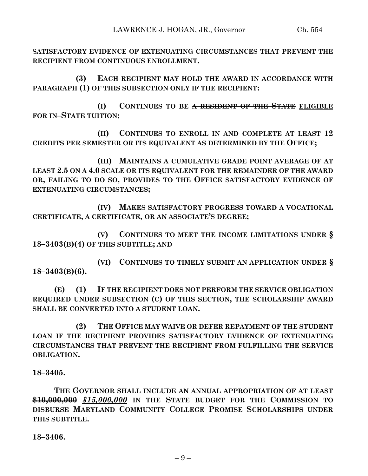**SATISFACTORY EVIDENCE OF EXTENUATING CIRCUMSTANCES THAT PREVENT THE RECIPIENT FROM CONTINUOUS ENROLLMENT.**

**(3) EACH RECIPIENT MAY HOLD THE AWARD IN ACCORDANCE WITH PARAGRAPH (1) OF THIS SUBSECTION ONLY IF THE RECIPIENT:**

**(I) CONTINUES TO BE A RESIDENT OF THE STATE ELIGIBLE FOR IN–STATE TUITION;**

**(II) CONTINUES TO ENROLL IN AND COMPLETE AT LEAST 12 CREDITS PER SEMESTER OR ITS EQUIVALENT AS DETERMINED BY THE OFFICE;**

**(III) MAINTAINS A CUMULATIVE GRADE POINT AVERAGE OF AT LEAST 2.5 ON A 4.0 SCALE OR ITS EQUIVALENT FOR THE REMAINDER OF THE AWARD OR, FAILING TO DO SO, PROVIDES TO THE OFFICE SATISFACTORY EVIDENCE OF EXTENUATING CIRCUMSTANCES;**

**(IV) MAKES SATISFACTORY PROGRESS TOWARD A VOCATIONAL CERTIFICATE, A CERTIFICATE, OR AN ASSOCIATE'S DEGREE;**

**(V) CONTINUES TO MEET THE INCOME LIMITATIONS UNDER § 18–3403(B)(4) OF THIS SUBTITLE; AND**

**(VI) CONTINUES TO TIMELY SUBMIT AN APPLICATION UNDER § 18–3403(B)(6).**

**(E) (1) IF THE RECIPIENT DOES NOT PERFORM THE SERVICE OBLIGATION REQUIRED UNDER SUBSECTION (C) OF THIS SECTION, THE SCHOLARSHIP AWARD SHALL BE CONVERTED INTO A STUDENT LOAN.**

**(2) THE OFFICE MAY WAIVE OR DEFER REPAYMENT OF THE STUDENT LOAN IF THE RECIPIENT PROVIDES SATISFACTORY EVIDENCE OF EXTENUATING CIRCUMSTANCES THAT PREVENT THE RECIPIENT FROM FULFILLING THE SERVICE OBLIGATION.**

**18–3405.**

**THE GOVERNOR SHALL INCLUDE AN ANNUAL APPROPRIATION OF AT LEAST \$10,000,000** *\$15,000,000* **IN THE STATE BUDGET FOR THE COMMISSION TO DISBURSE MARYLAND COMMUNITY COLLEGE PROMISE SCHOLARSHIPS UNDER THIS SUBTITLE.**

**18–3406.**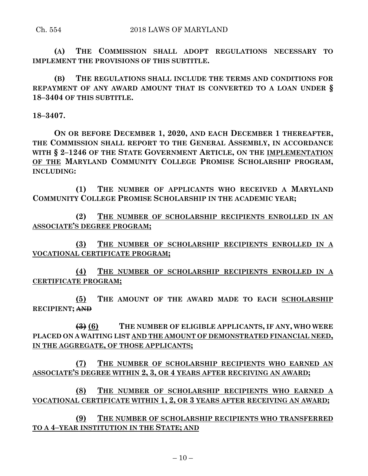**(A) THE COMMISSION SHALL ADOPT REGULATIONS NECESSARY TO IMPLEMENT THE PROVISIONS OF THIS SUBTITLE.**

**(B) THE REGULATIONS SHALL INCLUDE THE TERMS AND CONDITIONS FOR REPAYMENT OF ANY AWARD AMOUNT THAT IS CONVERTED TO A LOAN UNDER § 18–3404 OF THIS SUBTITLE.**

**18–3407.**

**ON OR BEFORE DECEMBER 1, 2020, AND EACH DECEMBER 1 THEREAFTER, THE COMMISSION SHALL REPORT TO THE GENERAL ASSEMBLY, IN ACCORDANCE WITH § 2–1246 OF THE STATE GOVERNMENT ARTICLE, ON THE IMPLEMENTATION OF THE MARYLAND COMMUNITY COLLEGE PROMISE SCHOLARSHIP PROGRAM, INCLUDING:**

**(1) THE NUMBER OF APPLICANTS WHO RECEIVED A MARYLAND COMMUNITY COLLEGE PROMISE SCHOLARSHIP IN THE ACADEMIC YEAR;**

**(2) THE NUMBER OF SCHOLARSHIP RECIPIENTS ENROLLED IN AN ASSOCIATE'S DEGREE PROGRAM;**

**(3) THE NUMBER OF SCHOLARSHIP RECIPIENTS ENROLLED IN A VOCATIONAL CERTIFICATE PROGRAM;**

**(4) THE NUMBER OF SCHOLARSHIP RECIPIENTS ENROLLED IN A CERTIFICATE PROGRAM;**

**(5) THE AMOUNT OF THE AWARD MADE TO EACH SCHOLARSHIP RECIPIENT; AND**

**(3) (6) THE NUMBER OF ELIGIBLE APPLICANTS, IF ANY, WHO WERE PLACED ON A WAITING LIST AND THE AMOUNT OF DEMONSTRATED FINANCIAL NEED, IN THE AGGREGATE, OF THOSE APPLICANTS;**

**(7) THE NUMBER OF SCHOLARSHIP RECIPIENTS WHO EARNED AN ASSOCIATE'S DEGREE WITHIN 2, 3, OR 4 YEARS AFTER RECEIVING AN AWARD;**

**(8) THE NUMBER OF SCHOLARSHIP RECIPIENTS WHO EARNED A VOCATIONAL CERTIFICATE WITHIN 1, 2, OR 3 YEARS AFTER RECEIVING AN AWARD;**

**(9) THE NUMBER OF SCHOLARSHIP RECIPIENTS WHO TRANSFERRED TO A 4–YEAR INSTITUTION IN THE STATE; AND**